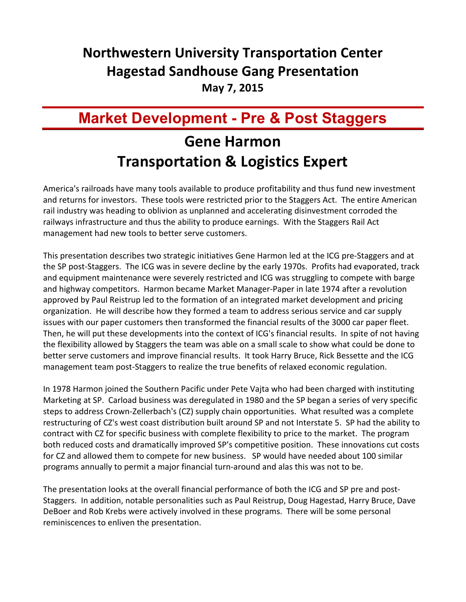## **Northwestern University Transportation Center Hagestad Sandhouse Gang Presentation**

**May 7, 2015** 

## **Market Development - Pre & Post Staggers**

## **Gene Harmon Transportation & Logistics Expert**

America's railroads have many tools available to produce profitability and thus fund new investment and returns for investors. These tools were restricted prior to the Staggers Act. The entire American rail industry was heading to oblivion as unplanned and accelerating disinvestment corroded the railways infrastructure and thus the ability to produce earnings. With the Staggers Rail Act management had new tools to better serve customers.

This presentation describes two strategic initiatives Gene Harmon led at the ICG pre-Staggers and at the SP post-Staggers. The ICG was in severe decline by the early 1970s. Profits had evaporated, track and equipment maintenance were severely restricted and ICG was struggling to compete with barge and highway competitors. Harmon became Market Manager-Paper in late 1974 after a revolution approved by Paul Reistrup led to the formation of an integrated market development and pricing organization. He will describe how they formed a team to address serious service and car supply issues with our paper customers then transformed the financial results of the 3000 car paper fleet. Then, he will put these developments into the context of ICG's financial results. In spite of not having the flexibility allowed by Staggers the team was able on a small scale to show what could be done to better serve customers and improve financial results. It took Harry Bruce, Rick Bessette and the ICG management team post-Staggers to realize the true benefits of relaxed economic regulation.

In 1978 Harmon joined the Southern Pacific under Pete Vajta who had been charged with instituting Marketing at SP. Carload business was deregulated in 1980 and the SP began a series of very specific steps to address Crown-Zellerbach's (CZ) supply chain opportunities. What resulted was a complete restructuring of CZ's west coast distribution built around SP and not Interstate 5. SP had the ability to contract with CZ for specific business with complete flexibility to price to the market. The program both reduced costs and dramatically improved SP's competitive position. These innovations cut costs for CZ and allowed them to compete for new business. SP would have needed about 100 similar programs annually to permit a major financial turn-around and alas this was not to be.

The presentation looks at the overall financial performance of both the ICG and SP pre and post-Staggers. In addition, notable personalities such as Paul Reistrup, Doug Hagestad, Harry Bruce, Dave DeBoer and Rob Krebs were actively involved in these programs. There will be some personal reminiscences to enliven the presentation.